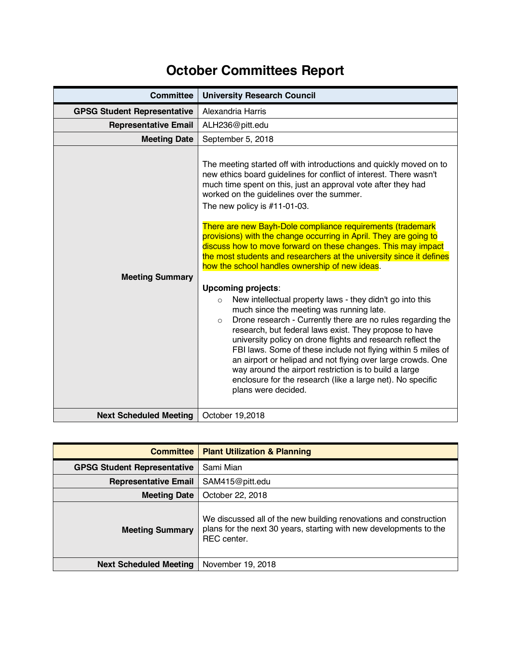## **October Committees Report**

| <b>Committee</b>                   | <b>University Research Council</b>                                                                                                                                                                                                                                                                                                                                                                                                                                                                                                                                                                                             |
|------------------------------------|--------------------------------------------------------------------------------------------------------------------------------------------------------------------------------------------------------------------------------------------------------------------------------------------------------------------------------------------------------------------------------------------------------------------------------------------------------------------------------------------------------------------------------------------------------------------------------------------------------------------------------|
| <b>GPSG Student Representative</b> | Alexandria Harris                                                                                                                                                                                                                                                                                                                                                                                                                                                                                                                                                                                                              |
| <b>Representative Email</b>        | ALH236@pitt.edu                                                                                                                                                                                                                                                                                                                                                                                                                                                                                                                                                                                                                |
| <b>Meeting Date</b>                | September 5, 2018                                                                                                                                                                                                                                                                                                                                                                                                                                                                                                                                                                                                              |
|                                    | The meeting started off with introductions and quickly moved on to<br>new ethics board guidelines for conflict of interest. There wasn't<br>much time spent on this, just an approval vote after they had<br>worked on the guidelines over the summer.<br>The new policy is $#11-01-03$ .<br>There are new Bayh-Dole compliance requirements (trademark<br>provisions) with the change occurring in April. They are going to<br>discuss how to move forward on these changes. This may impact<br>the most students and researchers at the university since it defines                                                          |
|                                    | how the school handles ownership of new ideas.                                                                                                                                                                                                                                                                                                                                                                                                                                                                                                                                                                                 |
| <b>Meeting Summary</b>             | <b>Upcoming projects:</b><br>New intellectual property laws - they didn't go into this<br>$\circ$<br>much since the meeting was running late.<br>Drone research - Currently there are no rules regarding the<br>$\circ$<br>research, but federal laws exist. They propose to have<br>university policy on drone flights and research reflect the<br>FBI laws. Some of these include not flying within 5 miles of<br>an airport or helipad and not flying over large crowds. One<br>way around the airport restriction is to build a large<br>enclosure for the research (like a large net). No specific<br>plans were decided. |
| <b>Next Scheduled Meeting</b>      | October 19,2018                                                                                                                                                                                                                                                                                                                                                                                                                                                                                                                                                                                                                |

| <b>Committee</b>                   | <b>Plant Utilization &amp; Planning</b>                                                                                                                       |
|------------------------------------|---------------------------------------------------------------------------------------------------------------------------------------------------------------|
| <b>GPSG Student Representative</b> | Sami Mian                                                                                                                                                     |
| <b>Representative Email</b>        | SAM415@pitt.edu                                                                                                                                               |
| <b>Meeting Date</b>                | October 22, 2018                                                                                                                                              |
| <b>Meeting Summary</b>             | We discussed all of the new building renovations and construction<br>plans for the next 30 years, starting with new developments to the<br><b>REC</b> center. |
| <b>Next Scheduled Meeting</b>      | November 19, 2018                                                                                                                                             |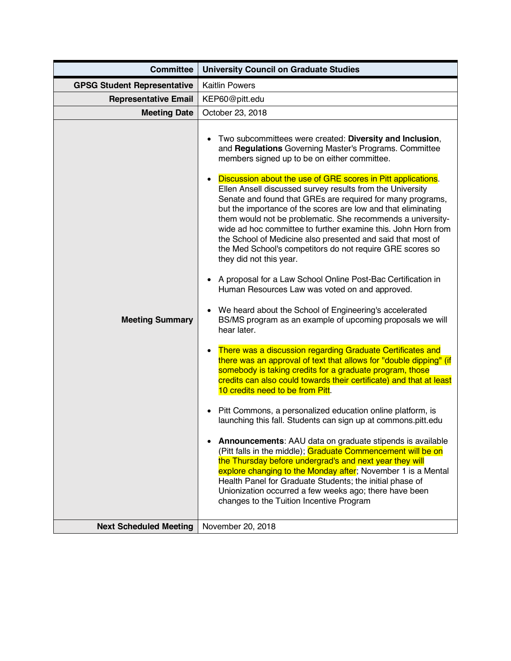| <b>Committee</b>                                        | <b>University Council on Graduate Studies</b>                                                                                                                                                                                                                                                                                                                                                                                                                                                                                                                                                                                                                                                                                                                                                                                                                                                                                                                                                                                                                                                                                                                                                                                                                                                                                                                                                                                                                                                                                                                                                                                                                                                                                                                                                                                                                              |
|---------------------------------------------------------|----------------------------------------------------------------------------------------------------------------------------------------------------------------------------------------------------------------------------------------------------------------------------------------------------------------------------------------------------------------------------------------------------------------------------------------------------------------------------------------------------------------------------------------------------------------------------------------------------------------------------------------------------------------------------------------------------------------------------------------------------------------------------------------------------------------------------------------------------------------------------------------------------------------------------------------------------------------------------------------------------------------------------------------------------------------------------------------------------------------------------------------------------------------------------------------------------------------------------------------------------------------------------------------------------------------------------------------------------------------------------------------------------------------------------------------------------------------------------------------------------------------------------------------------------------------------------------------------------------------------------------------------------------------------------------------------------------------------------------------------------------------------------------------------------------------------------------------------------------------------------|
| <b>GPSG Student Representative</b>                      | <b>Kaitlin Powers</b>                                                                                                                                                                                                                                                                                                                                                                                                                                                                                                                                                                                                                                                                                                                                                                                                                                                                                                                                                                                                                                                                                                                                                                                                                                                                                                                                                                                                                                                                                                                                                                                                                                                                                                                                                                                                                                                      |
| <b>Representative Email</b>                             | KEP60@pitt.edu                                                                                                                                                                                                                                                                                                                                                                                                                                                                                                                                                                                                                                                                                                                                                                                                                                                                                                                                                                                                                                                                                                                                                                                                                                                                                                                                                                                                                                                                                                                                                                                                                                                                                                                                                                                                                                                             |
| <b>Meeting Date</b>                                     | October 23, 2018                                                                                                                                                                                                                                                                                                                                                                                                                                                                                                                                                                                                                                                                                                                                                                                                                                                                                                                                                                                                                                                                                                                                                                                                                                                                                                                                                                                                                                                                                                                                                                                                                                                                                                                                                                                                                                                           |
| <b>Meeting Summary</b><br><b>Next Scheduled Meeting</b> | Two subcommittees were created: Diversity and Inclusion,<br>and Regulations Governing Master's Programs. Committee<br>members signed up to be on either committee.<br>Discussion about the use of GRE scores in Pitt applications.<br>Ellen Ansell discussed survey results from the University<br>Senate and found that GREs are required for many programs,<br>but the importance of the scores are low and that eliminating<br>them would not be problematic. She recommends a university-<br>wide ad hoc committee to further examine this. John Horn from<br>the School of Medicine also presented and said that most of<br>the Med School's competitors do not require GRE scores so<br>they did not this year.<br>• A proposal for a Law School Online Post-Bac Certification in<br>Human Resources Law was voted on and approved.<br>• We heard about the School of Engineering's accelerated<br>BS/MS program as an example of upcoming proposals we will<br>hear later.<br>There was a discussion regarding Graduate Certificates and<br>there was an approval of text that allows for "double dipping" (if<br>somebody is taking credits for a graduate program, those<br>credits can also could towards their certificate) and that at least<br>10 credits need to be from Pitt.<br>Pitt Commons, a personalized education online platform, is<br>launching this fall. Students can sign up at commons.pitt.edu<br>Announcements: AAU data on graduate stipends is available<br>(Pitt falls in the middle); Graduate Commencement will be on<br>the Thursday before undergrad's and next year they will<br>explore changing to the Monday after; November 1 is a Mental<br>Health Panel for Graduate Students; the initial phase of<br>Unionization occurred a few weeks ago; there have been<br>changes to the Tuition Incentive Program<br>November 20, 2018 |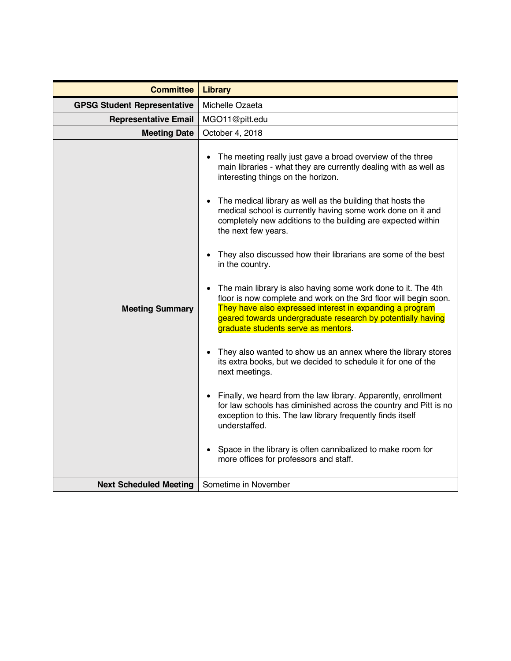| <b>Committee</b>                   | <b>Library</b>                                                                                                                                                                                                                                                                                                                                                                                                                                                                                                                                                                                                                                                                                                                                                                                                                                                                                                                                                                                                                                                                                                                                                                                                                                                                                                                                                   |
|------------------------------------|------------------------------------------------------------------------------------------------------------------------------------------------------------------------------------------------------------------------------------------------------------------------------------------------------------------------------------------------------------------------------------------------------------------------------------------------------------------------------------------------------------------------------------------------------------------------------------------------------------------------------------------------------------------------------------------------------------------------------------------------------------------------------------------------------------------------------------------------------------------------------------------------------------------------------------------------------------------------------------------------------------------------------------------------------------------------------------------------------------------------------------------------------------------------------------------------------------------------------------------------------------------------------------------------------------------------------------------------------------------|
| <b>GPSG Student Representative</b> | Michelle Ozaeta                                                                                                                                                                                                                                                                                                                                                                                                                                                                                                                                                                                                                                                                                                                                                                                                                                                                                                                                                                                                                                                                                                                                                                                                                                                                                                                                                  |
| <b>Representative Email</b>        | MGO11@pitt.edu                                                                                                                                                                                                                                                                                                                                                                                                                                                                                                                                                                                                                                                                                                                                                                                                                                                                                                                                                                                                                                                                                                                                                                                                                                                                                                                                                   |
| <b>Meeting Date</b>                | October 4, 2018                                                                                                                                                                                                                                                                                                                                                                                                                                                                                                                                                                                                                                                                                                                                                                                                                                                                                                                                                                                                                                                                                                                                                                                                                                                                                                                                                  |
| <b>Meeting Summary</b>             | The meeting really just gave a broad overview of the three<br>$\bullet$<br>main libraries - what they are currently dealing with as well as<br>interesting things on the horizon.<br>The medical library as well as the building that hosts the<br>$\bullet$<br>medical school is currently having some work done on it and<br>completely new additions to the building are expected within<br>the next few years.<br>They also discussed how their librarians are some of the best<br>$\bullet$<br>in the country.<br>The main library is also having some work done to it. The 4th<br>$\bullet$<br>floor is now complete and work on the 3rd floor will begin soon.<br>They have also expressed interest in expanding a program<br>geared towards undergraduate research by potentially having<br>graduate students serve as mentors.<br>They also wanted to show us an annex where the library stores<br>$\bullet$<br>its extra books, but we decided to schedule it for one of the<br>next meetings.<br>Finally, we heard from the law library. Apparently, enrollment<br>$\bullet$<br>for law schools has diminished across the country and Pitt is no<br>exception to this. The law library frequently finds itself<br>understaffed.<br>Space in the library is often cannibalized to make room for<br>$\bullet$<br>more offices for professors and staff. |
| <b>Next Scheduled Meeting</b>      | Sometime in November                                                                                                                                                                                                                                                                                                                                                                                                                                                                                                                                                                                                                                                                                                                                                                                                                                                                                                                                                                                                                                                                                                                                                                                                                                                                                                                                             |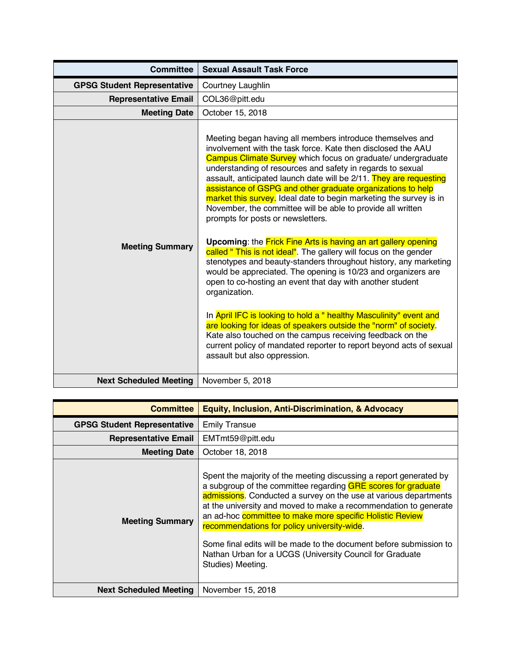| <b>Committee</b>                   | <b>Sexual Assault Task Force</b>                                                                                                                                                                                                                                                                                                                                                                                                                                                                                                                                                                                                                                                                                                                                                                                                                                                                                                                                                                                                                                                                                                                                                                                                                             |
|------------------------------------|--------------------------------------------------------------------------------------------------------------------------------------------------------------------------------------------------------------------------------------------------------------------------------------------------------------------------------------------------------------------------------------------------------------------------------------------------------------------------------------------------------------------------------------------------------------------------------------------------------------------------------------------------------------------------------------------------------------------------------------------------------------------------------------------------------------------------------------------------------------------------------------------------------------------------------------------------------------------------------------------------------------------------------------------------------------------------------------------------------------------------------------------------------------------------------------------------------------------------------------------------------------|
| <b>GPSG Student Representative</b> | Courtney Laughlin                                                                                                                                                                                                                                                                                                                                                                                                                                                                                                                                                                                                                                                                                                                                                                                                                                                                                                                                                                                                                                                                                                                                                                                                                                            |
| <b>Representative Email</b>        | COL36@pitt.edu                                                                                                                                                                                                                                                                                                                                                                                                                                                                                                                                                                                                                                                                                                                                                                                                                                                                                                                                                                                                                                                                                                                                                                                                                                               |
| <b>Meeting Date</b>                | October 15, 2018                                                                                                                                                                                                                                                                                                                                                                                                                                                                                                                                                                                                                                                                                                                                                                                                                                                                                                                                                                                                                                                                                                                                                                                                                                             |
| <b>Meeting Summary</b>             | Meeting began having all members introduce themselves and<br>involvement with the task force. Kate then disclosed the AAU<br>Campus Climate Survey which focus on graduate/ undergraduate<br>understanding of resources and safety in regards to sexual<br>assault, anticipated launch date will be 2/11. They are requesting<br>assistance of GSPG and other graduate organizations to help<br>market this survey. Ideal date to begin marketing the survey is in<br>November, the committee will be able to provide all written<br>prompts for posts or newsletters.<br><b>Upcoming:</b> the <b>Frick Fine Arts is having an art gallery opening</b><br>called " This is not ideal". The gallery will focus on the gender<br>stenotypes and beauty-standers throughout history, any marketing<br>would be appreciated. The opening is 10/23 and organizers are<br>open to co-hosting an event that day with another student<br>organization.<br>In April IFC is looking to hold a " healthy Masculinity" event and<br>are looking for ideas of speakers outside the "norm" of society.<br>Kate also touched on the campus receiving feedback on the<br>current policy of mandated reporter to report beyond acts of sexual<br>assault but also oppression. |
| <b>Next Scheduled Meeting</b>      | November 5, 2018                                                                                                                                                                                                                                                                                                                                                                                                                                                                                                                                                                                                                                                                                                                                                                                                                                                                                                                                                                                                                                                                                                                                                                                                                                             |

| <b>Committee</b>                   | <b>Equity, Inclusion, Anti-Discrimination, &amp; Advocacy</b>                                                                                                                                                                                                                                                                                                                                                                                                                                                                                  |
|------------------------------------|------------------------------------------------------------------------------------------------------------------------------------------------------------------------------------------------------------------------------------------------------------------------------------------------------------------------------------------------------------------------------------------------------------------------------------------------------------------------------------------------------------------------------------------------|
| <b>GPSG Student Representative</b> | <b>Emily Transue</b>                                                                                                                                                                                                                                                                                                                                                                                                                                                                                                                           |
| <b>Representative Email</b>        | EMTmt59@pitt.edu                                                                                                                                                                                                                                                                                                                                                                                                                                                                                                                               |
| <b>Meeting Date</b>                | October 18, 2018                                                                                                                                                                                                                                                                                                                                                                                                                                                                                                                               |
| <b>Meeting Summary</b>             | Spent the majority of the meeting discussing a report generated by<br>a subgroup of the committee regarding GRE scores for graduate<br>admissions. Conducted a survey on the use at various departments<br>at the university and moved to make a recommendation to generate<br>an ad-hoc committee to make more specific Holistic Review<br>recommendations for policy university-wide.<br>Some final edits will be made to the document before submission to<br>Nathan Urban for a UCGS (University Council for Graduate<br>Studies) Meeting. |
| <b>Next Scheduled Meeting</b>      | November 15, 2018                                                                                                                                                                                                                                                                                                                                                                                                                                                                                                                              |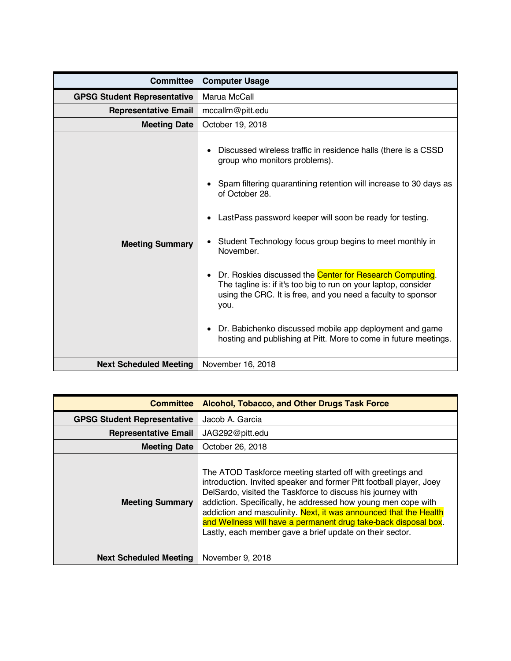| <b>Committee</b>                   | <b>Computer Usage</b>                                                                                                                                                                                                                                                                                                                                                                                                                                                                                                                                                                                                                                                          |
|------------------------------------|--------------------------------------------------------------------------------------------------------------------------------------------------------------------------------------------------------------------------------------------------------------------------------------------------------------------------------------------------------------------------------------------------------------------------------------------------------------------------------------------------------------------------------------------------------------------------------------------------------------------------------------------------------------------------------|
| <b>GPSG Student Representative</b> | Marua McCall                                                                                                                                                                                                                                                                                                                                                                                                                                                                                                                                                                                                                                                                   |
| <b>Representative Email</b>        | mccallm@pitt.edu                                                                                                                                                                                                                                                                                                                                                                                                                                                                                                                                                                                                                                                               |
| <b>Meeting Date</b>                | October 19, 2018                                                                                                                                                                                                                                                                                                                                                                                                                                                                                                                                                                                                                                                               |
| <b>Meeting Summary</b>             | Discussed wireless traffic in residence halls (there is a CSSD<br>group who monitors problems).<br>Spam filtering quarantining retention will increase to 30 days as<br>of October 28.<br>LastPass password keeper will soon be ready for testing.<br>$\bullet$<br>Student Technology focus group begins to meet monthly in<br>November.<br>Dr. Roskies discussed the Center for Research Computing.<br>The tagline is: if it's too big to run on your laptop, consider<br>using the CRC. It is free, and you need a faculty to sponsor<br>you.<br>Dr. Babichenko discussed mobile app deployment and game<br>hosting and publishing at Pitt. More to come in future meetings. |
| <b>Next Scheduled Meeting</b>      | November 16, 2018                                                                                                                                                                                                                                                                                                                                                                                                                                                                                                                                                                                                                                                              |

| <b>Committee</b>                   | <b>Alcohol, Tobacco, and Other Drugs Task Force</b>                                                                                                                                                                                                                                                                                                                                                                                                                  |
|------------------------------------|----------------------------------------------------------------------------------------------------------------------------------------------------------------------------------------------------------------------------------------------------------------------------------------------------------------------------------------------------------------------------------------------------------------------------------------------------------------------|
| <b>GPSG Student Representative</b> | Jacob A. Garcia                                                                                                                                                                                                                                                                                                                                                                                                                                                      |
| <b>Representative Email</b>        | JAG292@pitt.edu                                                                                                                                                                                                                                                                                                                                                                                                                                                      |
| <b>Meeting Date</b>                | October 26, 2018                                                                                                                                                                                                                                                                                                                                                                                                                                                     |
| <b>Meeting Summary</b>             | The ATOD Taskforce meeting started off with greetings and<br>introduction. Invited speaker and former Pitt football player, Joey<br>DelSardo, visited the Taskforce to discuss his journey with<br>addiction. Specifically, he addressed how young men cope with<br>addiction and masculinity. Next, it was announced that the Health<br>and Wellness will have a permanent drug take-back disposal box.<br>Lastly, each member gave a brief update on their sector. |
| <b>Next Scheduled Meeting</b>      | November 9, 2018                                                                                                                                                                                                                                                                                                                                                                                                                                                     |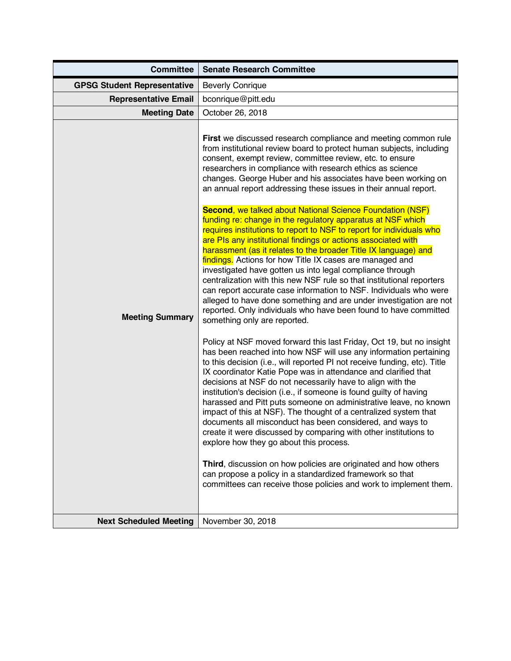| <b>GPSG Student Representative</b><br><b>Beverly Conrique</b><br><b>Representative Email</b><br>bconrique@pitt.edu<br><b>Meeting Date</b><br>October 26, 2018<br>First we discussed research compliance and meeting common rule<br>from institutional review board to protect human subjects, including<br>consent, exempt review, committee review, etc. to ensure<br>researchers in compliance with research ethics as science<br>changes. George Huber and his associates have been working on<br>an annual report addressing these issues in their annual report.<br><b>Second, we talked about National Science Foundation (NSF)</b><br>funding re: change in the regulatory apparatus at NSF which<br>requires institutions to report to NSF to report for individuals who<br>are PIs any institutional findings or actions associated with<br>harassment (as it relates to the broader Title IX language) and                                                                                                                                                                                                                                                                                                                                                                                                                                                                                                                                                                  | <b>Committee</b> | <b>Senate Research Committee</b> |
|---------------------------------------------------------------------------------------------------------------------------------------------------------------------------------------------------------------------------------------------------------------------------------------------------------------------------------------------------------------------------------------------------------------------------------------------------------------------------------------------------------------------------------------------------------------------------------------------------------------------------------------------------------------------------------------------------------------------------------------------------------------------------------------------------------------------------------------------------------------------------------------------------------------------------------------------------------------------------------------------------------------------------------------------------------------------------------------------------------------------------------------------------------------------------------------------------------------------------------------------------------------------------------------------------------------------------------------------------------------------------------------------------------------------------------------------------------------------------------------|------------------|----------------------------------|
|                                                                                                                                                                                                                                                                                                                                                                                                                                                                                                                                                                                                                                                                                                                                                                                                                                                                                                                                                                                                                                                                                                                                                                                                                                                                                                                                                                                                                                                                                       |                  |                                  |
|                                                                                                                                                                                                                                                                                                                                                                                                                                                                                                                                                                                                                                                                                                                                                                                                                                                                                                                                                                                                                                                                                                                                                                                                                                                                                                                                                                                                                                                                                       |                  |                                  |
|                                                                                                                                                                                                                                                                                                                                                                                                                                                                                                                                                                                                                                                                                                                                                                                                                                                                                                                                                                                                                                                                                                                                                                                                                                                                                                                                                                                                                                                                                       |                  |                                  |
| findings. Actions for how Title IX cases are managed and<br>investigated have gotten us into legal compliance through<br>centralization with this new NSF rule so that institutional reporters<br>can report accurate case information to NSF. Individuals who were<br>alleged to have done something and are under investigation are not<br>reported. Only individuals who have been found to have committed<br><b>Meeting Summary</b><br>something only are reported.<br>Policy at NSF moved forward this last Friday, Oct 19, but no insight<br>has been reached into how NSF will use any information pertaining<br>to this decision (i.e., will reported PI not receive funding, etc). Title<br>IX coordinator Katie Pope was in attendance and clarified that<br>decisions at NSF do not necessarily have to align with the<br>institution's decision (i.e., if someone is found guilty of having<br>harassed and Pitt puts someone on administrative leave, no known<br>impact of this at NSF). The thought of a centralized system that<br>documents all misconduct has been considered, and ways to<br>create it were discussed by comparing with other institutions to<br>explore how they go about this process.<br>Third, discussion on how policies are originated and how others<br>can propose a policy in a standardized framework so that<br>committees can receive those policies and work to implement them.<br>November 30, 2018<br><b>Next Scheduled Meeting</b> |                  |                                  |